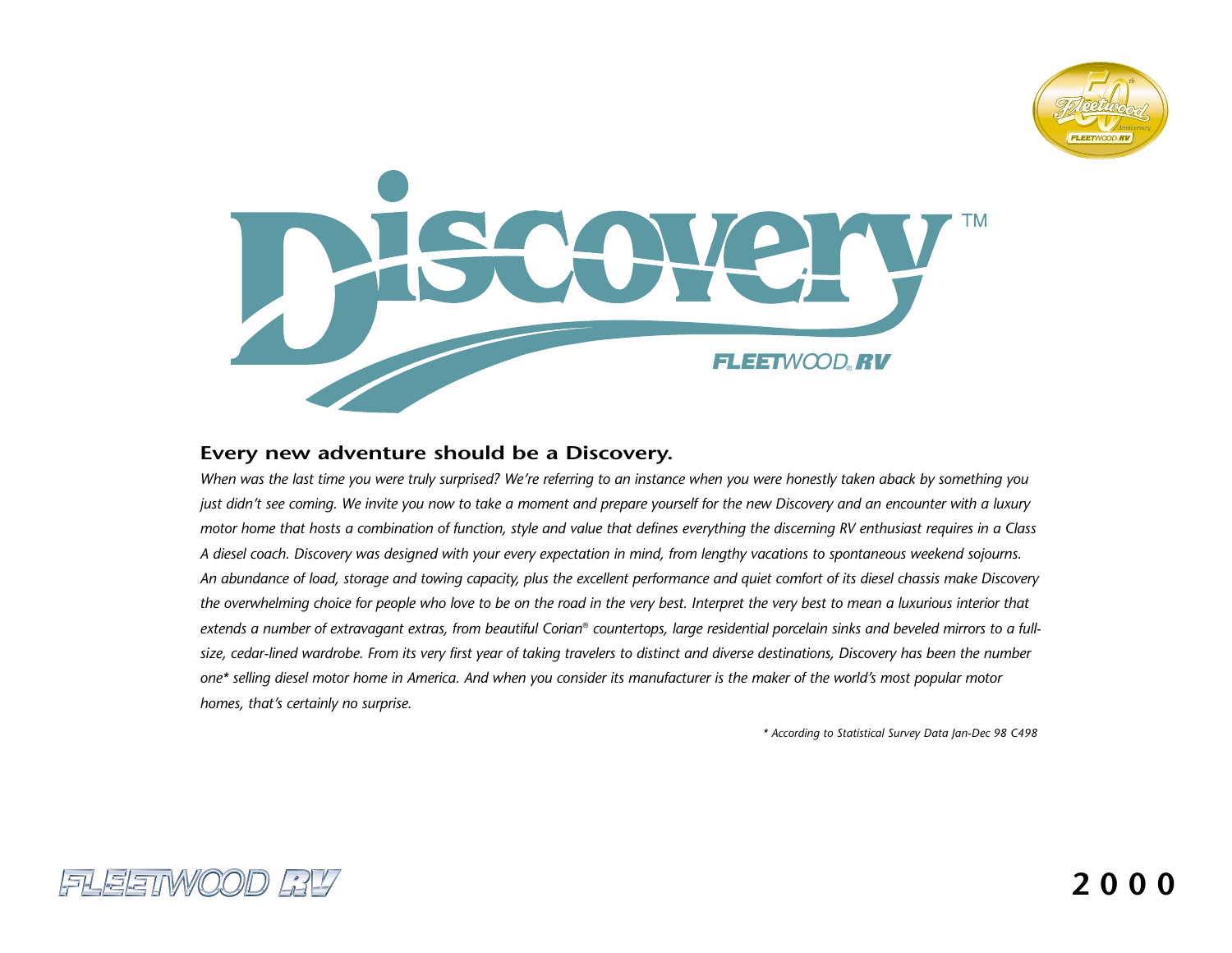



## **Every new adventure should be a Discovery.**

*When was the last time you were truly surprised? We're referring to an instance when you were honestly taken aback by something you just didn't see coming. We invite you now to take a moment and prepare yourself for the new Discovery and an encounter with a luxury motor home that hosts a combination of function, style and value that defines everything the discerning RV enthusiast requires in a Class A diesel coach. Discovery was designed with your every expectation in mind, from lengthy vacations to spontaneous weekend sojourns. An abundance of load, storage and towing capacity, plus the excellent performance and quiet comfort of its diesel chassis make Discovery the overwhelming choice for people who love to be on the road in the very best. Interpret the very best to mean a luxurious interior that extends a number of extravagant extras, from beautiful Corian*® *countertops, large residential porcelain sinks and beveled mirrors to a fullsize, cedar-lined wardrobe. From its very first year of taking travelers to distinct and diverse destinations, Discovery has been the number one\* selling diesel motor home in America. And when you consider its manufacturer is the maker of the world's most popular motor homes, that's certainly no surprise.*

*\* According to Statistical Survey Data Jan-Dec 98 C498*

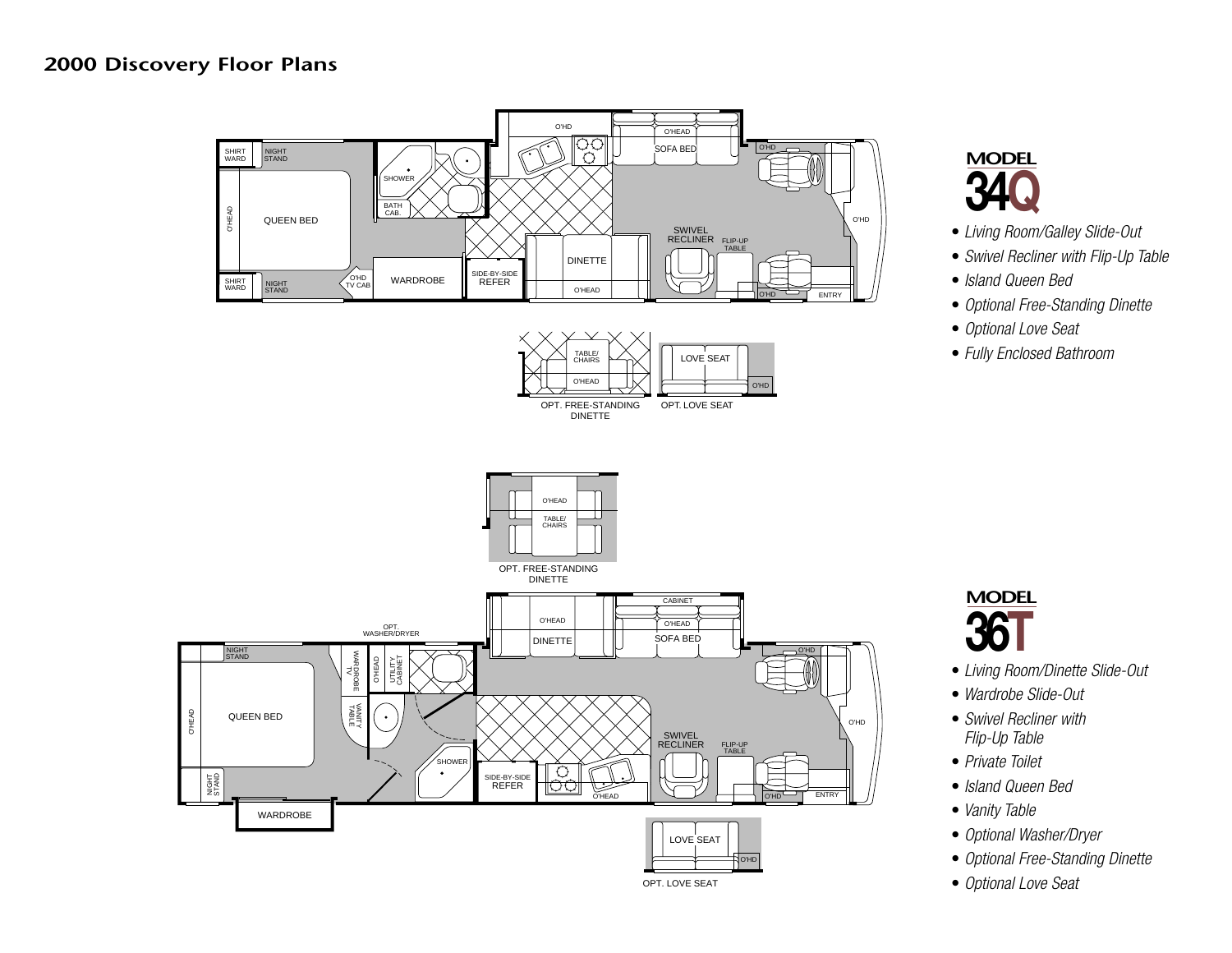# **2000 Discovery Floor Plans**





- *Living Room/Galley Slide-Out*
- *Swivel Recliner with Flip-Up Table*
- *Island Queen Bed*
- *Optional Free-Standing Dinette*
- *Optional Love Seat*
- *Fully Enclosed Bathroom*



- *Living Room/Dinette Slide-Out*
- *Wardrobe Slide-Out*
- *Swivel Recliner with Flip-Up Table*
- *Private Toilet*
- *Island Queen Bed*
- *Vanity Table*
- *Optional Washer/Dryer*
- *Optional Free-Standing Dinette*
- *Optional Love Seat*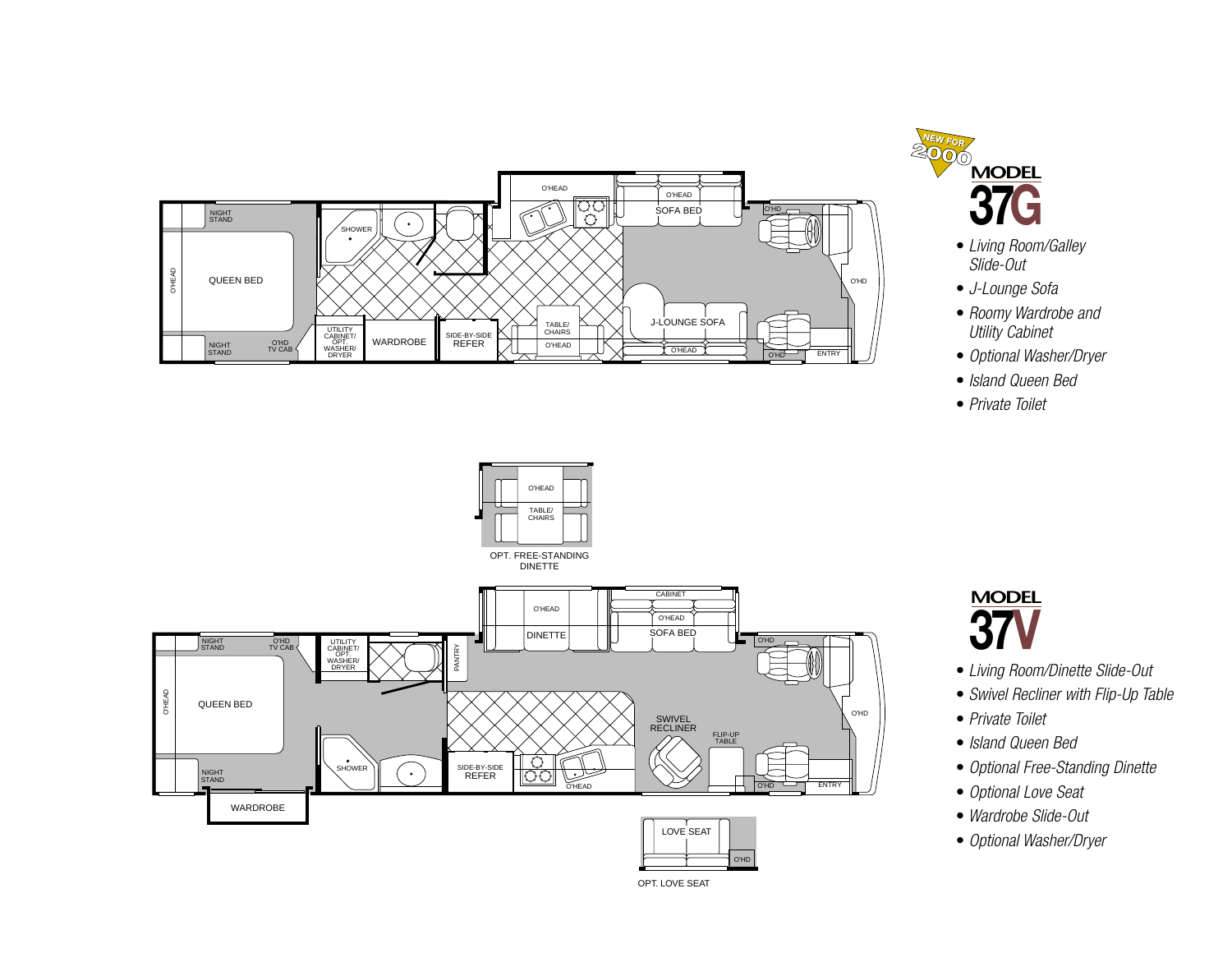



- *Living Room/Galley Slide-Out*
- *J-Lounge Sofa*
- *Roomy Wardrobe and Utility Cabinet*
- *Optional Washer/Dryer*
- *Island Queen Bed*
- *Private Toilet*



- **MODEL 37**
- *Living Room/Dinette Slide-Out*
- *Swivel Recliner with Flip-Up Table*
- *Private Toilet*
- *Island Queen Bed*
- *Optional Free-Standing Dinette*
- *Optional Love Seat*
- *Wardrobe Slide-Out*
- *Optional Washer/Dryer*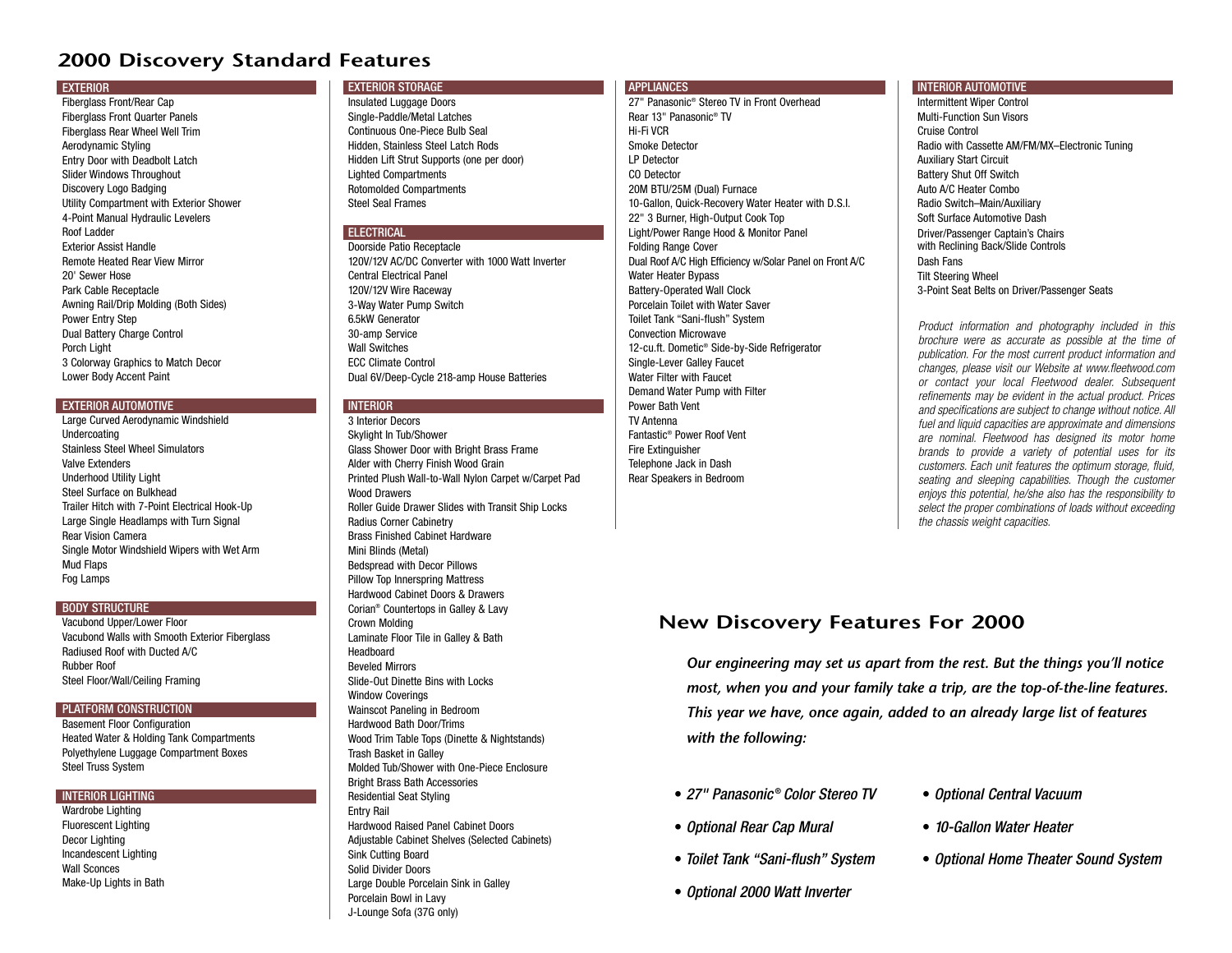# **2000 Discovery Standard Features**

#### **EXTERIOR**

Fiberglass Front/Rear Cap Fiberglass Front Quarter Panels Fiberglass Rear Wheel Well Trim Aerodynamic Styling Entry Door with Deadbolt Latch Slider Windows Throughout Discovery Logo Badging Utility Compartment with Exterior Shower 4-Point Manual Hydraulic Levelers Roof LadderExterior Assist HandleRemote Heated Rear View Mirror20' Sewer HosePark Cable Receptacle Awning Rail/Drip Molding (Both Sides) Power Entry Step Dual Battery Charge Control Porch Light 3 Colorway Graphics to Match Decor Lower Body Accent Paint

#### EXTERIOR AUTOMOTIVE

Large Curved Aerodynamic Windshield Undercoating Stainless Steel Wheel SimulatorsValve ExtendersUnderhood Utility Light Steel Surface on BulkheadTrailer Hitch with 7-Point Electrical Hook-Up Large Single Headlamps with Turn Signal Rear Vision CameraSingle Motor Windshield Wipers with Wet Arm Mud Flaps Fog Lamps

#### BODY STRUCTURE

Vacubond Upper/Lower Floor Vacubond Walls with Smooth Exterior Fiberglass Radiused Roof with Ducted A/CRubber RoofSteel Floor/Wall/Ceiling Framing

#### PLATFORM CONSTRUCTION

Basement Floor Configuration Heated Water & Holding Tank Compartments Polyethylene Luggage Compartment Boxes Steel Truss System

#### INTERIOR LIGHTING

Wardrobe Lighting Fluorescent Lighting Decor Lighting Incandescent Lighting Wall SconcesMake-Up Lights in Bath

#### EXTERIOR STORAGE

Insulated Luggage Doors Single-Paddle/Metal Latches Continuous One-Piece Bulb SealHidden, Stainless Steel Latch Rods Hidden Lift Strut Supports (one per door) Lighted Compartments Rotomolded Compartments Steel Seal Frames

#### ELECTRICAL

Doorside Patio Receptacle 120V/12V AC/DC Converter with 1000 Watt InverterCentral Electrical Panel120V/12V Wire Raceway 3-Way Water Pump Switch 6.5kW Generator30-amp Service Wall SwitchesECC Climate ControlDual 6V/Deep-Cycle 218-amp House Batteries

#### **INTERIOR**

3 Interior DecorsSkylight In Tub/Shower Glass Shower Door with Bright Brass Frame Alder with Cherry Finish Wood Grain Printed Plush Wall-to-Wall Nylon Carpet w/Carpet Pad Wood DrawersRoller Guide Drawer Slides with Transit Ship Locks Radius Corner Cabinetry Brass Finished Cabinet HardwareMini Blinds (Metal) Bedspread with Decor Pillows Pillow Top Innerspring Mattress Hardwood Cabinet Doors & DrawersCorian® Countertops in Galley & Lavy Crown Molding Laminate Floor Tile in Galley & Bath HeadboardBeveled MirrorsSlide-Out Dinette Bins with LocksWindow Coverings Wainscot Paneling in Bedroom Hardwood Bath Door/Trims Wood Trim Table Tops (Dinette & Nightstands) Trash Basket in Galley Molded Tub/Shower with One-Piece EnclosureBright Brass Bath Accessories Residential Seat Styling Entry Rail Hardwood Raised Panel Cabinet Doors Adjustable Cabinet Shelves (Selected Cabinets) Sink Cutting Board Solid Divider DoorsLarge Double Porcelain Sink in Galley Porcelain Bowl in Lavy J-Lounge Sofa (37G only)

#### APPLIANCES

27" Panasonic® Stereo TV in Front OverheadRear 13" Panasonic® TVHi-Fi VCRSmoke DetectorLP DetectorCO Detector20M BTU/25M (Dual) Furnace 10-Gallon, Quick-Recovery Water Heater with D.S.I. 22" 3 Burner, High-Output Cook Top Light/Power Range Hood & Monitor Panel Folding Range Cover Dual Roof A/C High Efficiency w/Solar Panel on Front A/C Water Heater Bypass Battery-Operated Wall Clock Porcelain Toilet with Water SaverToilet Tank "Sani-flush" System Convection Microwave12-cu.ft. Dometic® Side-by-Side Refrigerator Single-Lever Galley Faucet Water Filter with FaucetDemand Water Pump with Filter Power Bath VentTV AntennaFantastic® Power Roof VentFire Extinguisher Telephone Jack in Dash Rear Speakers in Bedroom

#### INTERIOR AUTOMOTIVE

Intermittent Wiper Control Multi-Function Sun VisorsCruise ControlRadio with Cassette AM/FM/MX–Electronic Tuning Auxiliary Start Circuit Battery Shut Off Switch Auto A/C Heater ComboRadio Switch–Main/Auxiliary Soft Surface Automotive DashDriver/Passenger Captain's Chairs with Reclining Back/Slide Controls Dash FansTilt Steering Wheel 3-Point Seat Belts on Driver/Passenger Seats

*Product information and photography included in this brochure were as accurate as possible at the time of publication. For the most current product information and changes, please visit our Website at www.fleetwood.com or contact your local Fleetwood dealer. Subsequent refinements may be evident in the actual product. Prices and specifications are subject to change without notice. All fuel and liquid capacities are approximate and dimensions are nominal. Fleetwood has designed its motor home brands to provide a variety of potential uses for its customers. Each unit features the optimum storage, fluid, seating and sleeping capabilities. Though the customer enjoys this potential, he/she also has the responsibility to select the proper combinations of loads without exceeding the chassis weight capacities.*

# **New Discovery Features For 2000**

*Our engineering may set us apart from the rest. But the things you'll notice most, when you and your family take a trip, are the top-of-the-line features. This year we have, once again, added to an already large list of features with the following:*

- *27" Panasonic* ® *Color Stereo TV*
- *Optional Rear Cap Mural*
- *Toilet Tank "Sani-flush" System*
- *Optional 2000 Watt Inverter*
- *Optional Central Vacuum*
- *10-Gallon Water Heater*
- *Optional Home Theater Sound System*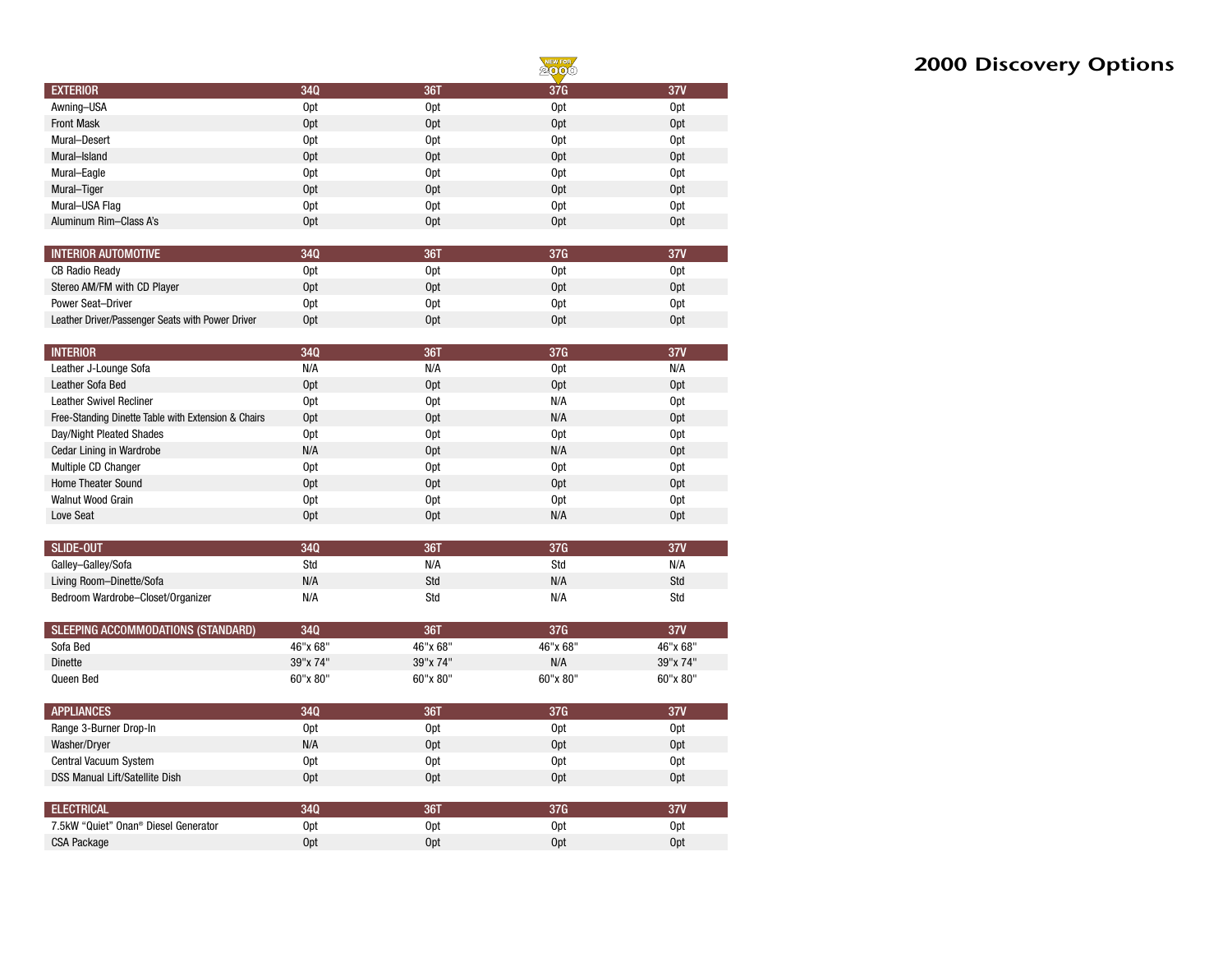|                        |                 |                 | NEW FOR<br>2000 |                 |
|------------------------|-----------------|-----------------|-----------------|-----------------|
| <b>EXTERIOR</b>        | 34Q             | 36T             | 37G             | 37V             |
| Awning-USA             | 0 <sub>pt</sub> | 0pt             | 0 <sub>pt</sub> | <b>Opt</b>      |
| <b>Front Mask</b>      | Opt             | Opt             | Opt             | 0 <sub>pt</sub> |
| Mural-Desert           | 0 <sub>pt</sub> | 0pt             | 0 <sub>pt</sub> | <b>Opt</b>      |
| Mural-Island           | 0 <sub>pt</sub> | Opt             | 0 <sub>pt</sub> | 0 <sub>pt</sub> |
| Mural-Eagle            | 0 <sub>pt</sub> | 0pt             | 0 <sub>pt</sub> | <b>Opt</b>      |
| Mural-Tiger            | 0 <sub>pt</sub> | Opt             | Opt             | 0 <sub>pt</sub> |
| Mural-USA Flag         | 0 <sub>pt</sub> | 0pt             | 0 <sub>pt</sub> | <b>Opt</b>      |
| Aluminum Rim-Class A's | 0 <sub>pt</sub> | 0 <sub>pt</sub> | 0 <sub>pt</sub> | <b>Opt</b>      |

| <b>INTERIOR AUTOMOTIVE</b>                       | 340 | 361             | 37G | <b>27V</b>      |
|--------------------------------------------------|-----|-----------------|-----|-----------------|
| <b>CB Radio Ready</b>                            | Opt | 0 <sub>pt</sub> | 0pt | Opt             |
| Stereo AM/FM with CD Player                      | 0pt | Opt             | 0pt | 0 <sub>pt</sub> |
| Power Seat-Driver                                | 0pt | 0 <sub>pt</sub> | 0pt | Opt             |
| Leather Driver/Passenger Seats with Power Driver | 0pt | 0 <sub>pt</sub> | 0pt | Opt             |

| <b>INTERIOR</b>                                     | 340             | 361             | 37G             | 37V             |
|-----------------------------------------------------|-----------------|-----------------|-----------------|-----------------|
| Leather J-Lounge Sofa                               | N/A             | N/A             | 0 <sub>pt</sub> | N/A             |
| Leather Sofa Bed                                    | Opt             | 0 <sub>pt</sub> | 0 <sub>pt</sub> | Opt             |
| <b>Leather Swivel Recliner</b>                      | 0pt             | 0 <sub>pt</sub> | N/A             | 0pt             |
| Free-Standing Dinette Table with Extension & Chairs | 0 <sub>pt</sub> | Opt             | N/A             | Opt             |
| Day/Night Pleated Shades                            | 0pt             | 0 <sub>pt</sub> | 0 <sub>pt</sub> | 0pt             |
| <b>Cedar Lining in Wardrobe</b>                     | N/A             | Opt             | N/A             | 0 <sub>pt</sub> |
| Multiple CD Changer                                 | Opt             | 0 <sub>pt</sub> | Opt             | 0 <sub>pt</sub> |
| Home Theater Sound                                  | 0 <sub>pt</sub> | 0 <sub>pt</sub> | 0 <sub>pt</sub> | 0 <sub>pt</sub> |
| Walnut Wood Grain                                   | Opt             | 0 <sub>pt</sub> | 0 <sub>pt</sub> | Opt             |
| Love Seat                                           | 0 <sub>pt</sub> | Opt             | N/A             | 0pt             |

| SLIDE-OUT                         | 340 | 861 |     | 27V |
|-----------------------------------|-----|-----|-----|-----|
| Galley-Galley/Sofa                | Std | N/A | Std | N/A |
| Living Room-Dinette/Sofa          | N/A | Std | N/A | Std |
| Bedroom Wardrobe-Closet/Organizer | N/A | Std | N/A | Std |

| SLEEPING ACCOMMODATIONS (STANDARD) | 34Q      | 361      | 37G      | 37V      |
|------------------------------------|----------|----------|----------|----------|
| Sofa Bed                           | 46"x 68" | 46"x 68" | 46"x 68" | 46"x 68" |
| <b>Dinette</b>                     | 39"x 74" | 39"x 74" | N/A      | 39"x 74" |
| Queen Bed                          | 60"x 80" | 60"x 80" | 60"x 80" | 60"x 80" |

| <b>APPLIANCES</b>                     | 340             | 361             | 37G             | 37V             |
|---------------------------------------|-----------------|-----------------|-----------------|-----------------|
| Range 3-Burner Drop-In                | 0pt             | 0 <sub>pt</sub> | 0pt             | 0pt             |
| Washer/Dryer                          | N/A             | 0 <sub>pt</sub> | 0 <sub>pt</sub> | 0 <sub>pt</sub> |
| Central Vacuum System                 | 0pt             | 0 <sub>pt</sub> | 0pt             | 0 <sub>pt</sub> |
| <b>DSS Manual Lift/Satellite Dish</b> | 0 <sub>pt</sub> | Opt             | 0 <sub>pt</sub> | 0 <sub>pt</sub> |
|                                       |                 |                 |                 |                 |
| <b>ELECTRICAL</b>                     | 340             | 361             | 37G             | 37V             |
| 7.5kW "Quiet" Onan® Diesel Generator  | 0pt             | 0 <sub>pt</sub> | 0pt             | 0pt             |
| <b>CSA Package</b>                    | Opt             | Opt             | Opt             | 0pt             |

# **2000 Discovery Options**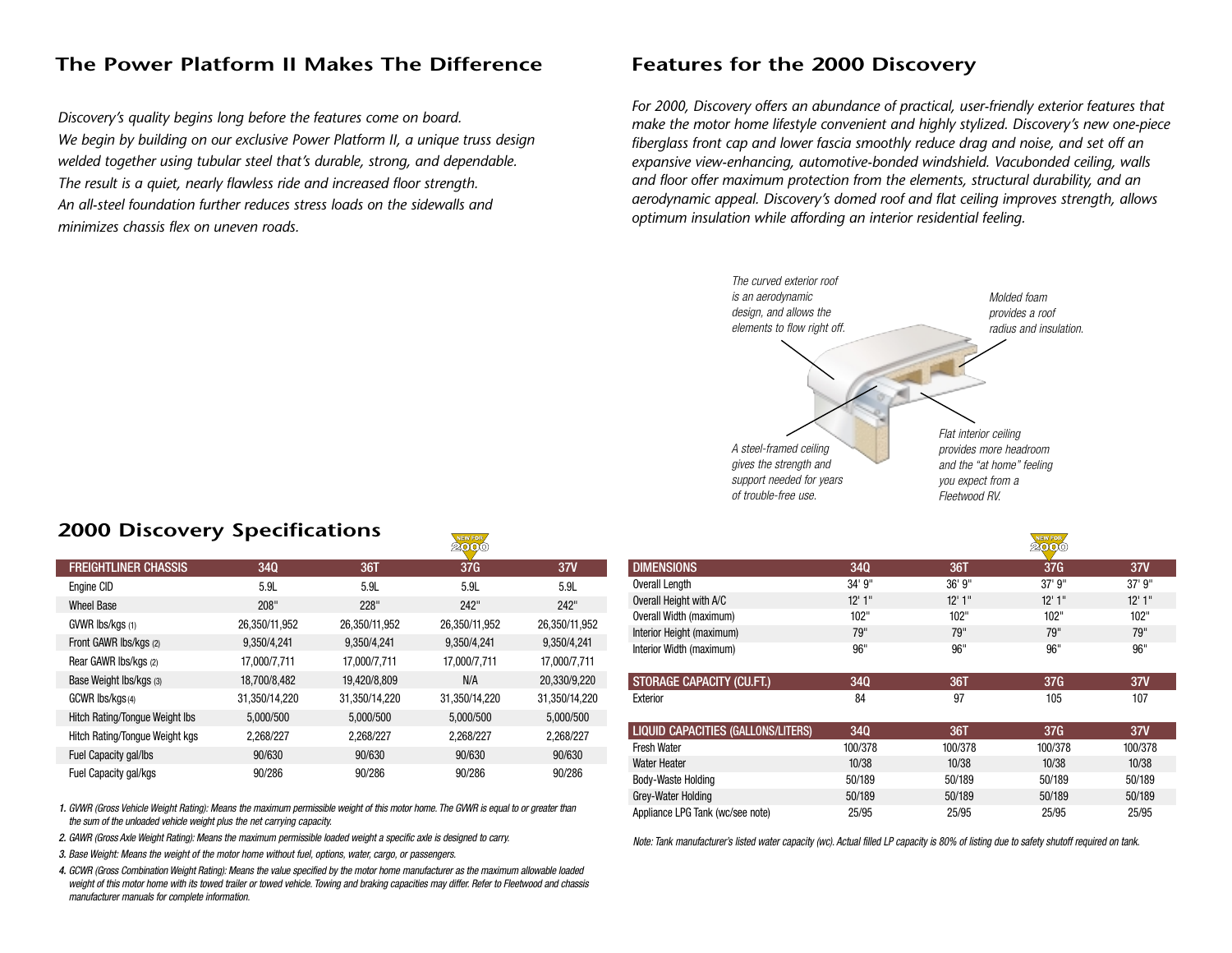## **The Power Platform II Makes The Difference**

*Discovery's quality begins long before the features come on board. We begin by building on our exclusive Power Platform II, a unique truss design welded together using tubular steel that's durable, strong, and dependable. The result is a quiet, nearly flawless ride and increased floor strength. An all-steel foundation further reduces stress loads on the sidewalls and minimizes chassis flex on uneven roads.*

### **Features for the 2000 Discovery**

*For 2000, Discovery offers an abundance of practical, user-friendly exterior features that make the motor home lifestyle convenient and highly stylized. Discovery's new one-piece fiberglass front cap and lower fascia smoothly reduce drag and noise, and set off an expansive view-enhancing, automotive-bonded windshield. Vacubonded ceiling, walls and floor offer maximum protection from the elements, structural durability, and an aerodynamic appeal. Discovery's domed roof and flat ceiling improves strength, allows optimum insulation while affording an interior residential feeling.*



| 1.18                      |
|---------------------------|
| provides more headroom    |
| and the "at home" feeling |
| you expect from a         |
| Fleetwood RV.             |
|                           |
|                           |
| ------------              |

|                           |            |        | بتعديته |        |
|---------------------------|------------|--------|---------|--------|
| <b>DIMENSIONS</b>         | <b>340</b> | 36T    | 37G     | 37V    |
| Overall Length            | 34' 9"     | 36'9'' | 37' 9"  | 37' 9" |
| Overall Height with A/C   | 12'1''     | 12'1'' | 12'1''  | 12'1'' |
| Overall Width (maximum)   | 102"       | 102"   | 102"    | 102"   |
| Interior Height (maximum) | 79"        | 79"    | 79"     | 79"    |
| Interior Width (maximum)  | 96"        | 96"    | 96"     | 96"    |
|                           |            |        |         |        |
| STORAGE CAPACITY (CU.FT.) | <b>340</b> | 36T    | 37G     | 37V    |
| Exterior                  | 84         | 97     | 105     | 107    |
|                           |            |        |         |        |

| <b>LIQUID CAPACITIES (GALLONS/LITERS)</b> | <b>34Q</b> | 36T     | 37G     | 37V     |
|-------------------------------------------|------------|---------|---------|---------|
| <b>Fresh Water</b>                        | 100/378    | 100/378 | 100/378 | 100/378 |
| Water Heater                              | 10/38      | 10/38   | 10/38   | 10/38   |
| Body-Waste Holding                        | 50/189     | 50/189  | 50/189  | 50/189  |
| Grey-Water Holding                        | 50/189     | 50/189  | 50/189  | 50/189  |
| Appliance LPG Tank (wc/see note)          | 25/95      | 25/95   | 25/95   | 25/95   |

*Note: Tank manufacturer's listed water capacity (wc). Actual filled LP capacity is 80% of listing due to safety shutoff required on tank.*

# **2000 Discovery Specifications**

| <b>FREIGHTLINER CHASSIS</b>           | <b>340</b>    | 36T           | 37G           | 37V           |
|---------------------------------------|---------------|---------------|---------------|---------------|
| Engine CID                            | 5.9L          | 5.9L          | 5.9L          | 5.9L          |
| <b>Wheel Base</b>                     | 208"          | 228"          | 242"          | 242"          |
| GVWR Ibs/kgs (1)                      | 26,350/11,952 | 26,350/11,952 | 26,350/11,952 | 26,350/11,952 |
| Front GAWR Ibs/kgs (2)                | 9,350/4,241   | 9,350/4,241   | 9,350/4,241   | 9,350/4,241   |
| Rear GAWR Ibs/kgs (2)                 | 17,000/7,711  | 17,000/7,711  | 17,000/7,711  | 17,000/7,711  |
| Base Weight Ibs/kgs (3)               | 18,700/8,482  | 19,420/8,809  | N/A           | 20,330/9,220  |
| GCWR Ibs/kgs(4)                       | 31,350/14,220 | 31,350/14,220 | 31,350/14,220 | 31,350/14,220 |
| <b>Hitch Rating/Tongue Weight Ibs</b> | 5,000/500     | 5,000/500     | 5,000/500     | 5,000/500     |
| Hitch Rating/Tongue Weight kgs        | 2,268/227     | 2,268/227     | 2,268/227     | 2,268/227     |
| Fuel Capacity gal/lbs                 | 90/630        | 90/630        | 90/630        | 90/630        |
| Fuel Capacity gal/kgs                 | 90/286        | 90/286        | 90/286        | 90/286        |

NEW FOR

*1. GVWR (Gross Vehicle Weight Rating): Means the maximum permissible weight of this motor home. The GVWR is equal to or greater than the sum of the unloaded vehicle weight plus the net carrying capacity.*

*2. GAWR (Gross Axle Weight Rating): Means the maximum permissible loaded weight a specific axle is designed to carry.*

*3. Base Weight: Means the weight of the motor home without fuel, options, water, cargo, or passengers.*

*4. GCWR (Gross Combination Weight Rating): Means the value specified by the motor home manufacturer as the maximum allowable loaded* weight of this motor home with its towed trailer or towed vehicle. Towing and braking capacities may differ. Refer to Fleetwood and chassis *manufacturer manuals for complete information.*